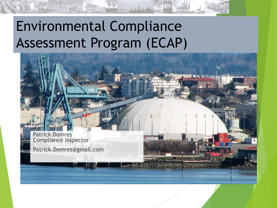### Environmental Compliance Assessment Program (ECAP)



of the Mine of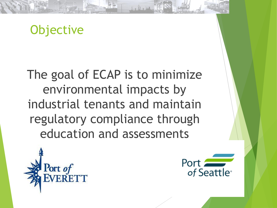#### **Objective**

The goal of ECAP is to minimize environmental impacts by industrial tenants and maintain regulatory compliance through education and assessments

Le We Wa



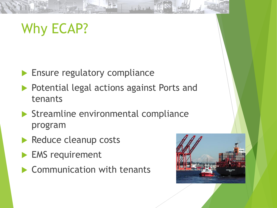# Why ECAP?

- **Ensure regulatory compliance**
- **Potential legal actions against Ports and** tenants

Le Ve dir

- Streamline environmental compliance program
- Reduce cleanup costs
- EMS requirement
- Communication with tenants

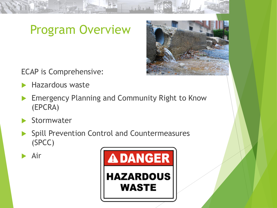#### Program Overview

ECAP is Comprehensive:

- Hazardous waste
- Emergency Planning and Community Right to Know (EPCRA)
- Stormwater
- Spill Prevention Control and Countermeasures (SPCC)

Air



L. W. Dir T.

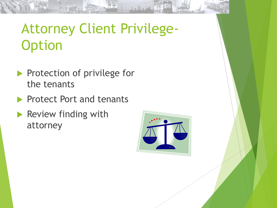# Attorney Client Privilege-**Option**

- Protection of privilege for the tenants
- **Protect Port and tenants**
- Review finding with attorney



to the Mr. II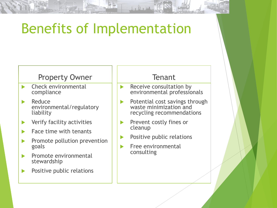### Benefits of Implementation

#### Property Owner

- Check environmental compliance
- $\blacktriangleright$  Reduce environmental/regulatory liability
- **Now Yerify facility activities**
- Face time with tenants
- Promote pollution prevention goals
- $\blacktriangleright$  Promote environmental stewardship
- Positive public relations

#### Tenant

o Wo Vin

- Receive consultation by environmental professionals
- Potential cost savings through waste minimization and recycling recommendations
- **Prevent costly fines or** cleanup
- $\blacktriangleright$  Positive public relations
- Free environmental consulting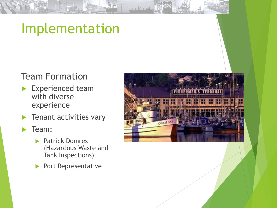#### Implementation

#### Team Formation

- Experienced team with diverse experience
- Tenant activities vary
- Team:
	- Patrick Domres (Hazardous Waste and Tank Inspections)
	- Port Representative



1. N. M. 19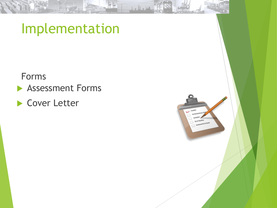#### Implementation

Forms

**Assessment Forms** 

▶ Cover Letter

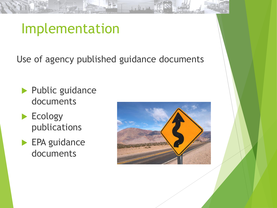#### Implementation

Use of agency published guidance documents

Lo Wo Wa

- **Public guidance** documents
- Ecology publications
- **EPA** guidance documents

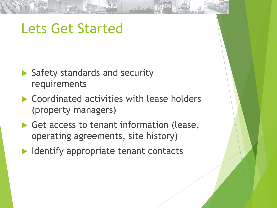#### Lets Get Started

- Safety standards and security requirements
- ▶ Coordinated activities with lease holders (property managers)
- Get access to tenant information (lease, operating agreements, site history)
- $\blacktriangleright$  Identify appropriate tenant contacts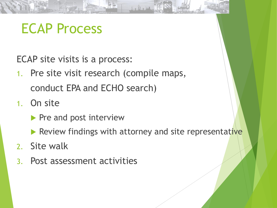#### ECAP Process

ECAP site visits is a process:

- 1. Pre site visit research (compile maps, conduct EPA and ECHO search)
- 1. On site
	- $\blacktriangleright$  Pre and post interview
	- Review findings with attorney and site representative

Le We Vir

- 2. Site walk
- 3. Post assessment activities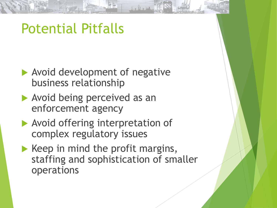#### Potential Pitfalls

- Avoid development of negative business relationship
- Avoid being perceived as an enforcement agency
- **Avoid offering interpretation of** complex regulatory issues
- $\blacktriangleright$  Keep in mind the profit margins, staffing and sophistication of smaller operations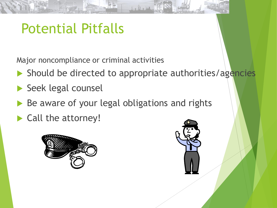#### Potential Pitfalls

Major noncompliance or criminal activities

Should be directed to appropriate authorities/agencies

o We Vote

- Seek legal counsel
- Be aware of your legal obligations and rights
- ▶ Call the attorney!



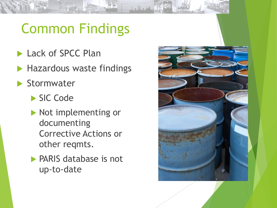# Common Findings

L. W. Mr. 12

- Lack of SPCC Plan
- Hazardous waste findings
- Stormwater
	- SIC Code
	- Not implementing or documenting Corrective Actions or other reqmts.
	- PARIS database is not up-to-date

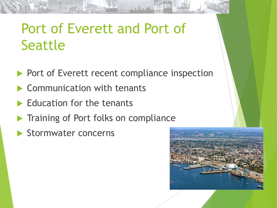#### Port of Everett and Port of **Seattle**

Port of Everett recent compliance inspection

B W a kin

- **Communication with tenants**
- Education for the tenants
- Training of Port folks on compliance
- Stormwater concerns